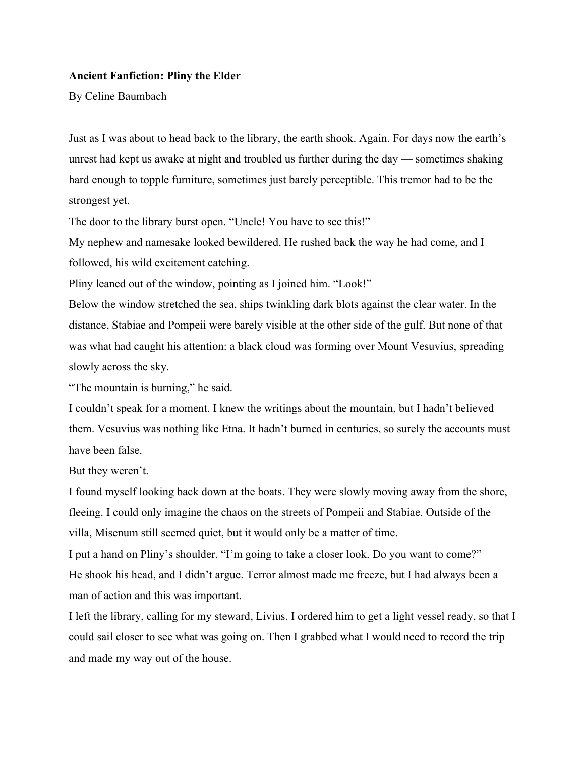#### **Ancient Fanfiction: Pliny the Elder**

By Celine Baumbach

Just as I was about to head back to the library, the earth shook. Again. For days now the earth's unrest had kept us awake at night and troubled us further during the day — sometimes shaking hard enough to topple furniture, sometimes just barely perceptible. This tremor had to be the strongest yet.

The door to the library burst open. "Uncle! You have to see this!"

My nephew and namesake looked bewildered. He rushed back the way he had come, and I followed, his wild excitement catching.

Pliny leaned out of the window, pointing as I joined him. "Look!"

Below the window stretched the sea, ships twinkling dark blots against the clear water. In the distance, Stabiae and Pompeii were barely visible at the other side of the gulf. But none of that was what had caught his attention: a black cloud was forming over Mount Vesuvius, spreading slowly across the sky.

"The mountain is burning," he said.

I couldn't speak for a moment. I knew the writings about the mountain, but I hadn't believed them. Vesuvius was nothing like Etna. It hadn't burned in centuries, so surely the accounts must have been false.

But they weren't.

I found myself looking back down at the boats. They were slowly moving away from the shore, fleeing. I could only imagine the chaos on the streets of Pompeii and Stabiae. Outside of the villa, Misenum still seemed quiet, but it would only be a matter of time.

I put a hand on Pliny's shoulder. "I'm going to take a closer look. Do you want to come?" He shook his head, and I didn't argue. Terror almost made me freeze, but I had always been a man of action and this was important.

I left the library, calling for my steward, Livius. I ordered him to get a light vessel ready, so that I could sail closer to see what was going on. Then I grabbed what I would need to record the trip and made my way out of the house.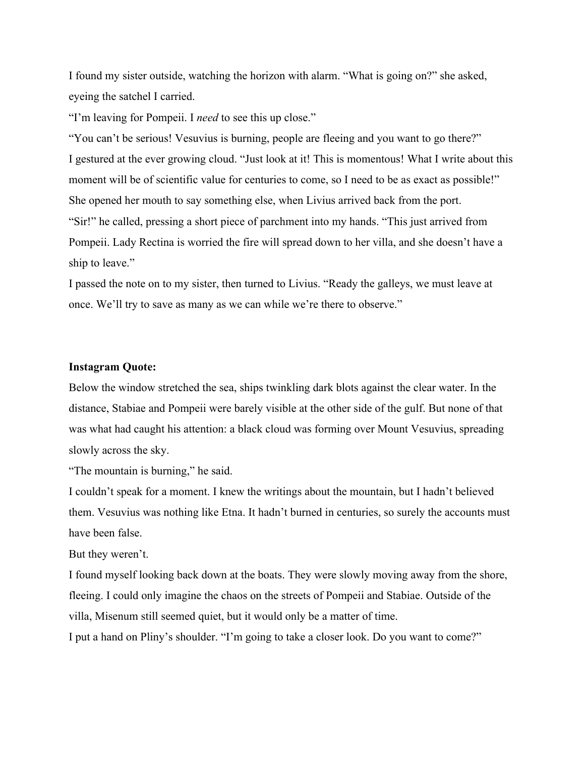I found my sister outside, watching the horizon with alarm. "What is going on?" she asked, eyeing the satchel I carried.

"I'm leaving for Pompeii. I *need* to see this up close."

"You can't be serious! Vesuvius is burning, people are fleeing and you want to go there?" I gestured at the ever growing cloud. "Just look at it! This is momentous! What I write about this moment will be of scientific value for centuries to come, so I need to be as exact as possible!" She opened her mouth to say something else, when Livius arrived back from the port. "Sir!" he called, pressing a short piece of parchment into my hands. "This just arrived from Pompeii. Lady Rectina is worried the fire will spread down to her villa, and she doesn't have a ship to leave."

I passed the note on to my sister, then turned to Livius. "Ready the galleys, we must leave at once. We'll try to save as many as we can while we're there to observe."

#### **Instagram Quote:**

Below the window stretched the sea, ships twinkling dark blots against the clear water. In the distance, Stabiae and Pompeii were barely visible at the other side of the gulf. But none of that was what had caught his attention: a black cloud was forming over Mount Vesuvius, spreading slowly across the sky.

"The mountain is burning," he said.

I couldn't speak for a moment. I knew the writings about the mountain, but I hadn't believed them. Vesuvius was nothing like Etna. It hadn't burned in centuries, so surely the accounts must have been false.

But they weren't.

I found myself looking back down at the boats. They were slowly moving away from the shore, fleeing. I could only imagine the chaos on the streets of Pompeii and Stabiae. Outside of the villa, Misenum still seemed quiet, but it would only be a matter of time.

I put a hand on Pliny's shoulder. "I'm going to take a closer look. Do you want to come?"